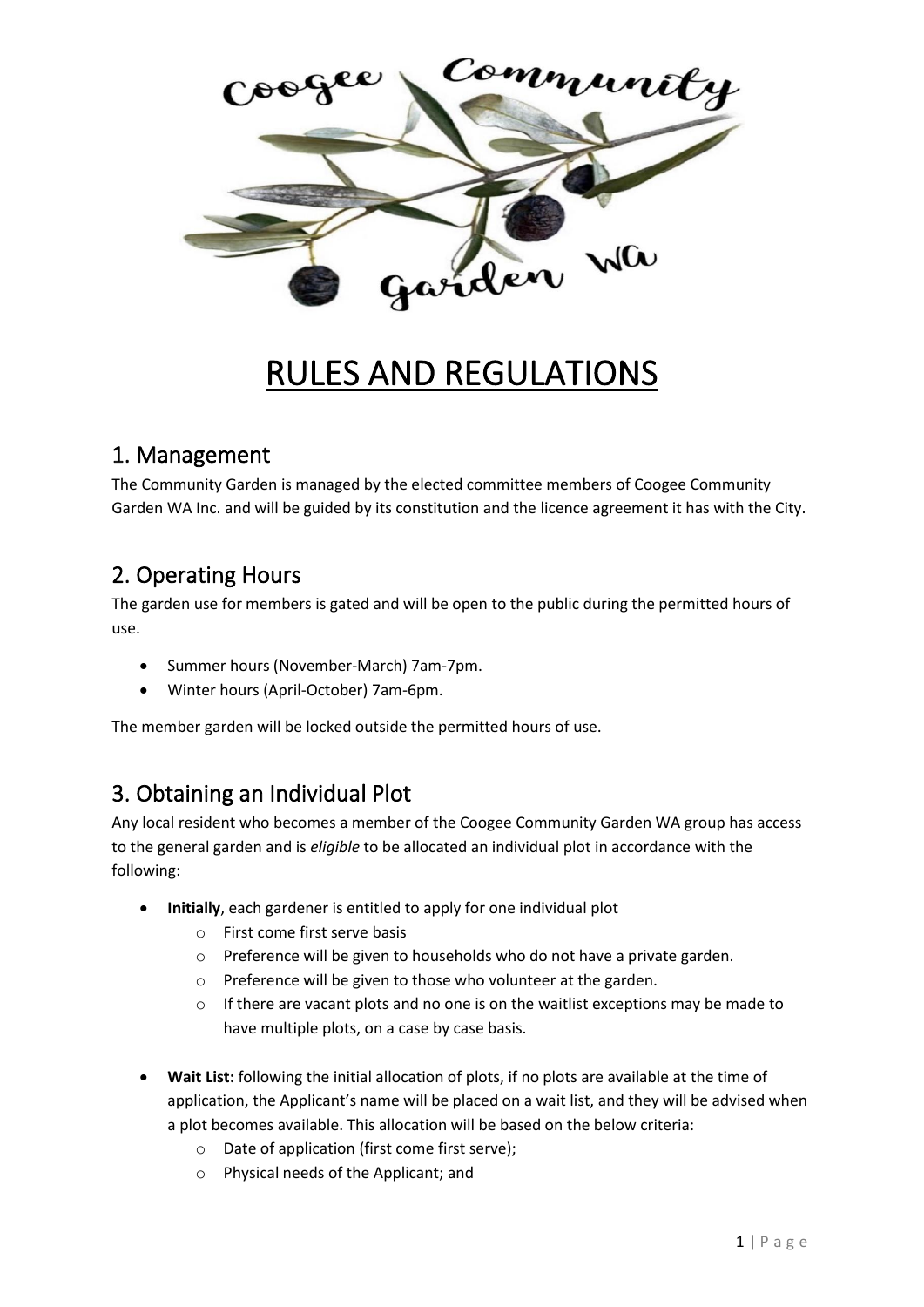

# RULES AND REGULATIONS

#### 1. Management

The Community Garden is managed by the elected committee members of Coogee Community Garden WA Inc. and will be guided by its constitution and the licence agreement it has with the City.

## 2. Operating Hours

The garden use for members is gated and will be open to the public during the permitted hours of use.

- Summer hours (November-March) 7am-7pm.
- Winter hours (April-October) 7am-6pm.

The member garden will be locked outside the permitted hours of use.

## 3. Obtaining an Individual Plot

Any local resident who becomes a member of the Coogee Community Garden WA group has access to the general garden and is *eligible* to be allocated an individual plot in accordance with the following:

- **Initially**, each gardener is entitled to apply for one individual plot
	- o First come first serve basis
	- o Preference will be given to households who do not have a private garden.
	- o Preference will be given to those who volunteer at the garden.
	- $\circ$  If there are vacant plots and no one is on the waitlist exceptions may be made to have multiple plots, on a case by case basis.
- **Wait List:** following the initial allocation of plots, if no plots are available at the time of application, the Applicant's name will be placed on a wait list, and they will be advised when a plot becomes available. This allocation will be based on the below criteria:
	- o Date of application (first come first serve);
	- o Physical needs of the Applicant; and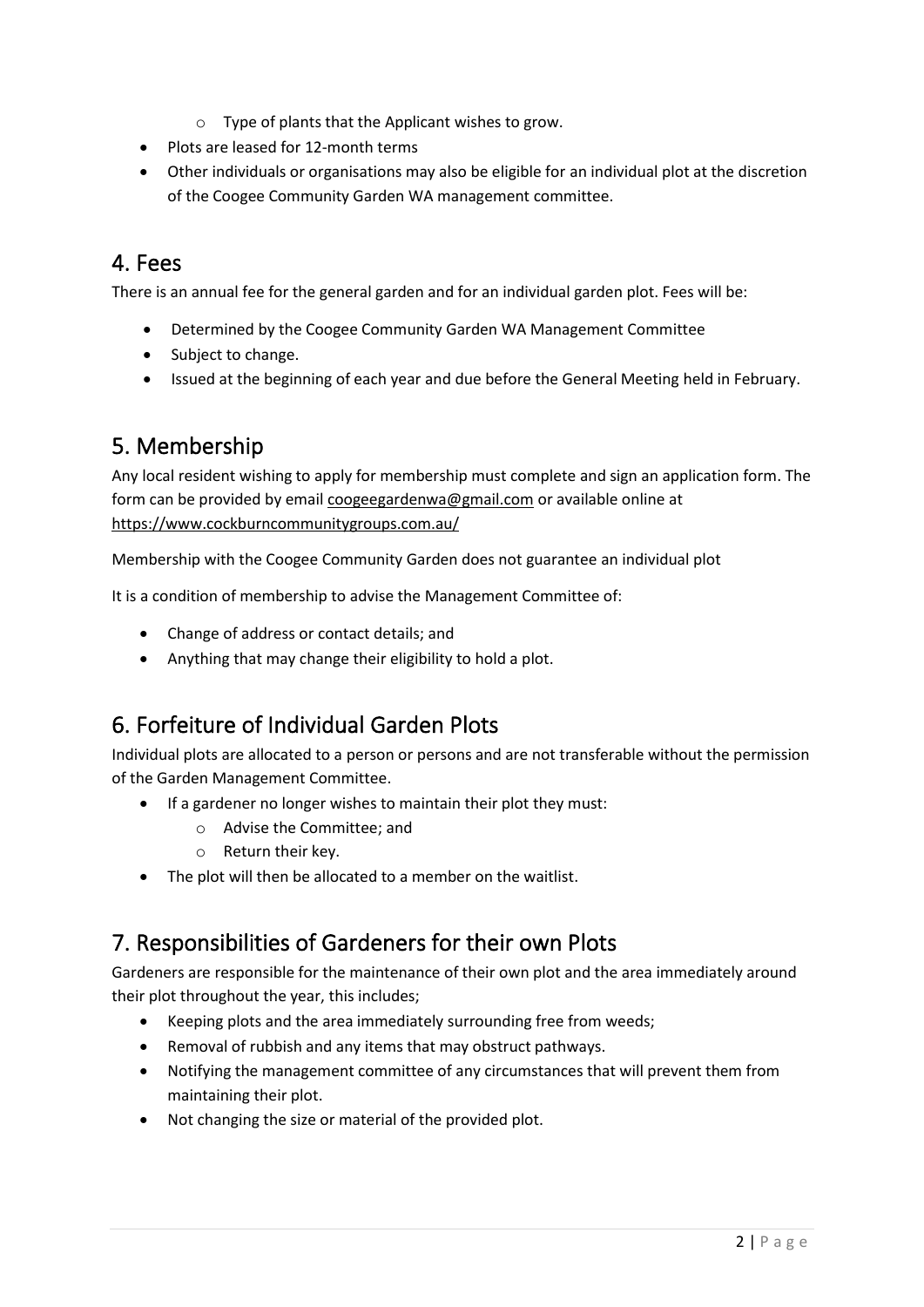- o Type of plants that the Applicant wishes to grow.
- Plots are leased for 12-month terms
- Other individuals or organisations may also be eligible for an individual plot at the discretion of the Coogee Community Garden WA management committee.

#### 4. Fees

There is an annual fee for the general garden and for an individual garden plot. Fees will be:

- Determined by the Coogee Community Garden WA Management Committee
- Subject to change.
- Issued at the beginning of each year and due before the General Meeting held in February.

# 5. Membership

Any local resident wishing to apply for membership must complete and sign an application form. The form can be provided by email [coogeegardenwa@gmail.com](mailto:coogeegardenwa@gmail.com) or available online at <https://www.cockburncommunitygroups.com.au/>

Membership with the Coogee Community Garden does not guarantee an individual plot

It is a condition of membership to advise the Management Committee of:

- Change of address or contact details; and
- Anything that may change their eligibility to hold a plot.

## 6. Forfeiture of Individual Garden Plots

Individual plots are allocated to a person or persons and are not transferable without the permission of the Garden Management Committee.

- If a gardener no longer wishes to maintain their plot they must:
	- o Advise the Committee; and
	- o Return their key.
- The plot will then be allocated to a member on the waitlist.

## 7. Responsibilities of Gardeners for their own Plots

Gardeners are responsible for the maintenance of their own plot and the area immediately around their plot throughout the year, this includes;

- Keeping plots and the area immediately surrounding free from weeds;
- Removal of rubbish and any items that may obstruct pathways.
- Notifying the management committee of any circumstances that will prevent them from maintaining their plot.
- Not changing the size or material of the provided plot.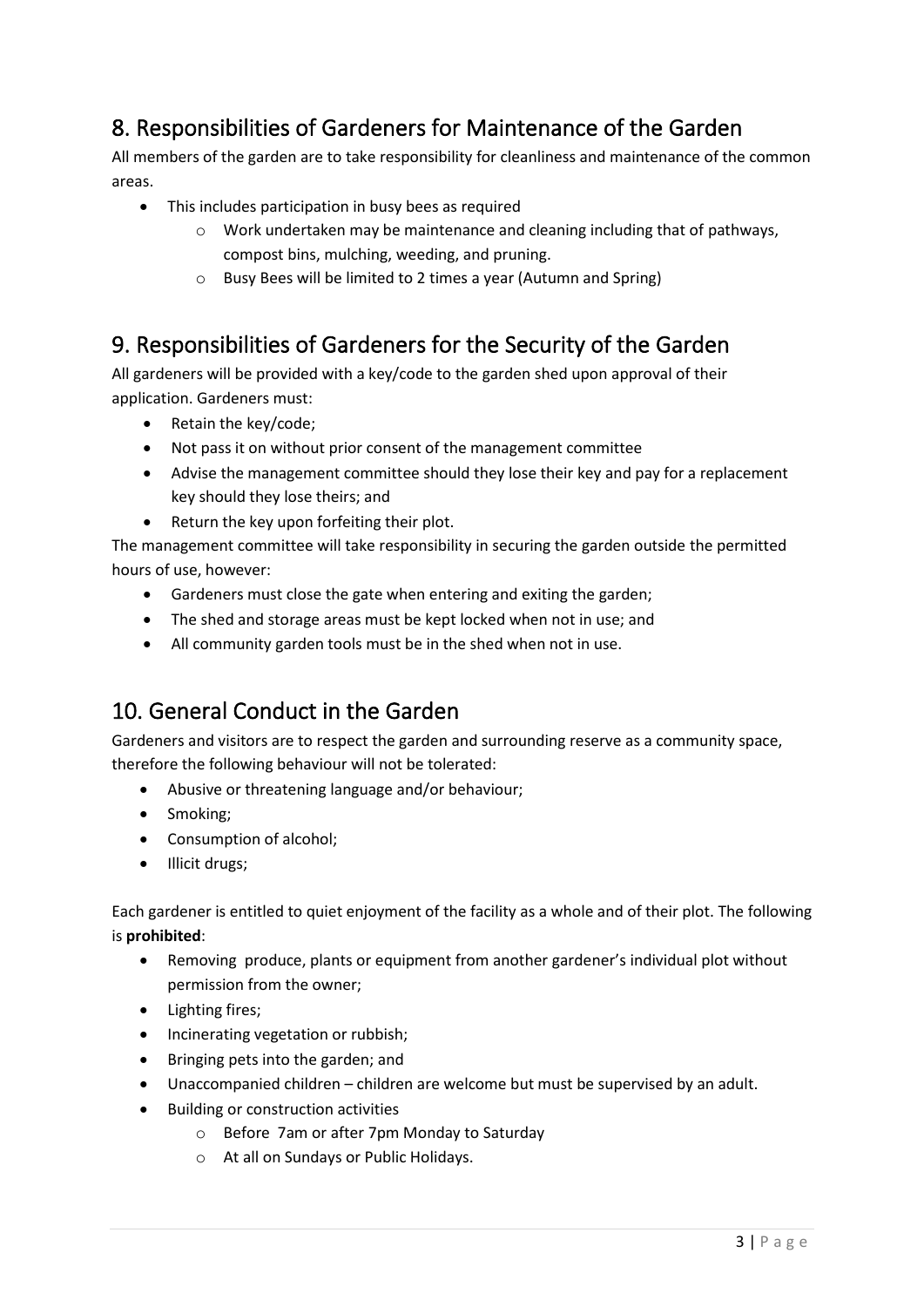## 8. Responsibilities of Gardeners for Maintenance of the Garden

All members of the garden are to take responsibility for cleanliness and maintenance of the common areas.

- This includes participation in busy bees as required
	- $\circ$  Work undertaken may be maintenance and cleaning including that of pathways, compost bins, mulching, weeding, and pruning.
	- o Busy Bees will be limited to 2 times a year (Autumn and Spring)

#### 9. Responsibilities of Gardeners for the Security of the Garden

All gardeners will be provided with a key/code to the garden shed upon approval of their application. Gardeners must:

- Retain the key/code;
- Not pass it on without prior consent of the management committee
- Advise the management committee should they lose their key and pay for a replacement key should they lose theirs; and
- Return the key upon forfeiting their plot.

The management committee will take responsibility in securing the garden outside the permitted hours of use, however:

- Gardeners must close the gate when entering and exiting the garden;
- The shed and storage areas must be kept locked when not in use; and
- All community garden tools must be in the shed when not in use.

## 10. General Conduct in the Garden

Gardeners and visitors are to respect the garden and surrounding reserve as a community space, therefore the following behaviour will not be tolerated:

- Abusive or threatening language and/or behaviour;
- Smoking;
- Consumption of alcohol;
- Illicit drugs;

Each gardener is entitled to quiet enjoyment of the facility as a whole and of their plot. The following is **prohibited**:

- Removing produce, plants or equipment from another gardener's individual plot without permission from the owner;
- Lighting fires;
- Incinerating vegetation or rubbish;
- Bringing pets into the garden; and
- Unaccompanied children children are welcome but must be supervised by an adult.
- Building or construction activities
	- o Before 7am or after 7pm Monday to Saturday
	- o At all on Sundays or Public Holidays.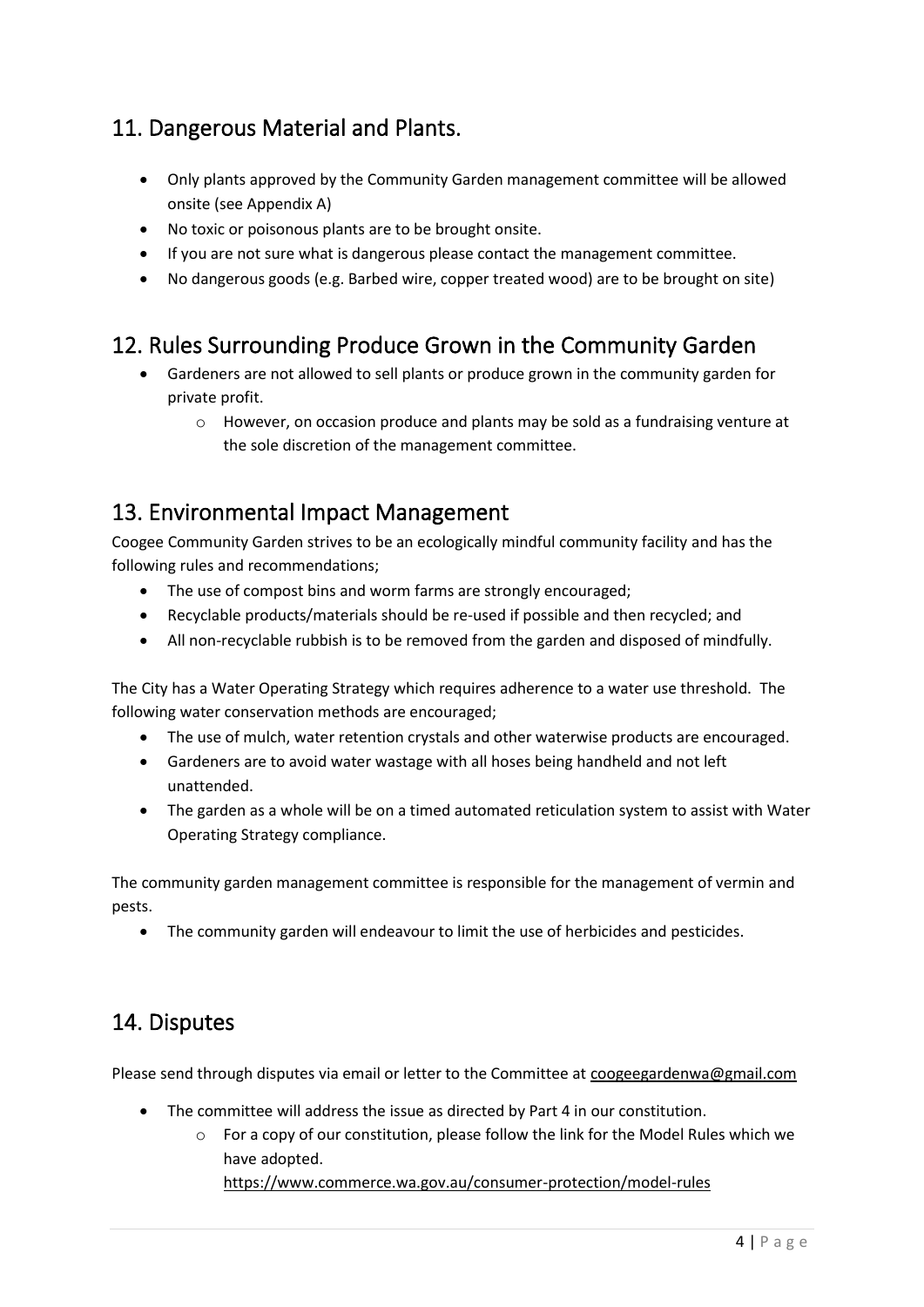## 11. Dangerous Material and Plants.

- Only plants approved by the Community Garden management committee will be allowed onsite (see Appendix A)
- No toxic or poisonous plants are to be brought onsite.
- If you are not sure what is dangerous please contact the management committee.
- No dangerous goods (e.g. Barbed wire, copper treated wood) are to be brought on site)

# 12. Rules Surrounding Produce Grown in the Community Garden

- Gardeners are not allowed to sell plants or produce grown in the community garden for private profit.
	- o However, on occasion produce and plants may be sold as a fundraising venture at the sole discretion of the management committee.

#### 13. Environmental Impact Management

Coogee Community Garden strives to be an ecologically mindful community facility and has the following rules and recommendations;

- The use of compost bins and worm farms are strongly encouraged;
- Recyclable products/materials should be re-used if possible and then recycled; and
- All non-recyclable rubbish is to be removed from the garden and disposed of mindfully.

The City has a Water Operating Strategy which requires adherence to a water use threshold. The following water conservation methods are encouraged;

- The use of mulch, water retention crystals and other waterwise products are encouraged.
- Gardeners are to avoid water wastage with all hoses being handheld and not left unattended.
- The garden as a whole will be on a timed automated reticulation system to assist with Water Operating Strategy compliance.

The community garden management committee is responsible for the management of vermin and pests.

• The community garden will endeavour to limit the use of herbicides and pesticides.

#### 14. Disputes

Please send through disputes via email or letter to the Committee at coogeegardenwa@gmail.com

- The committee will address the issue as directed by Part 4 in our constitution.
	- o For a copy of our constitution, please follow the link for the Model Rules which we have adopted.

<https://www.commerce.wa.gov.au/consumer-protection/model-rules>